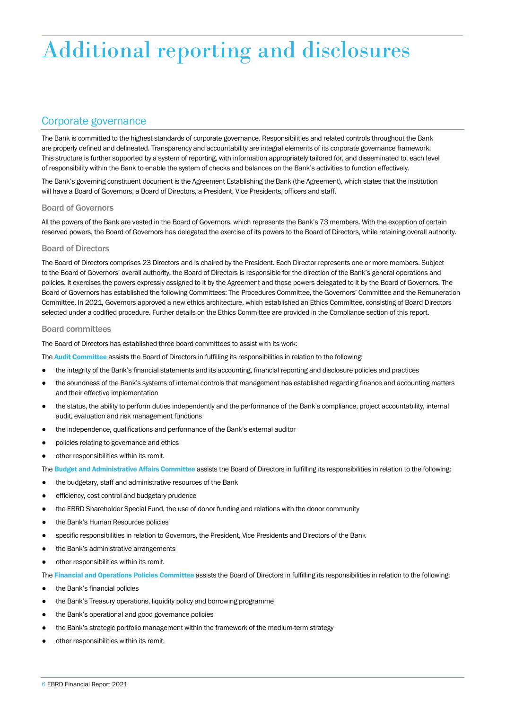# Additional reporting and disclosures

## Corporate governance

The Bank is committed to the highest standards of corporate governance. Responsibilities and related controls throughout the Bank are properly defined and delineated. Transparency and accountability are integral elements of its corporate governance framework. This structure is further supported by a system of reporting, with information appropriately tailored for, and disseminated to, each level of responsibility within the Bank to enable the system of checks and balances on the Bank's activities to function effectively.

The Bank's governing constituent document is the Agreement Establishing the Bank (the Agreement), which states that the institution will have a Board of Governors, a Board of Directors, a President, Vice Presidents, officers and staff.

### Board of Governors

All the powers of the Bank are vested in the Board of Governors, which represents the Bank's 73 members. With the exception of certain reserved powers, the Board of Governors has delegated the exercise of its powers to the Board of Directors, while retaining overall authority.

#### Board of Directors

The Board of Directors comprises 23 Directors and is chaired by the President. Each Director represents one or more members. Subject to the Board of Governors' overall authority, the Board of Directors is responsible for the direction of the Bank's general operations and policies. It exercises the powers expressly assigned to it by the Agreement and those powers delegated to it by the Board of Governors. The Board of Governors has established the following Committees: The Procedures Committee, the Governors' Committee and the Remuneration Committee. In 2021, Governors approved a new ethics architecture, which established an Ethics Committee, consisting of Board Directors selected under a codified procedure. Further details on the Ethics Committee are provided in the Compliance section of this report.

#### Board committees

The Board of Directors has established three board committees to assist with its work:

The Audit Committee assists the Board of Directors in fulfilling its responsibilities in relation to the following:

- the integrity of the Bank's financial statements and its accounting, financial reporting and disclosure policies and practices
- the soundness of the Bank's systems of internal controls that management has established regarding finance and accounting matters and their effective implementation
- the status, the ability to perform duties independently and the performance of the Bank's compliance, project accountability, internal audit, evaluation and risk management functions
- the independence, qualifications and performance of the Bank's external auditor
- policies relating to governance and ethics
- other responsibilities within its remit.
- The Budget and Administrative Affairs Committee assists the Board of Directors in fulfilling its responsibilities in relation to the following:
- the budgetary, staff and administrative resources of the Bank
- efficiency, cost control and budgetary prudence
- the EBRD Shareholder Special Fund, the use of donor funding and relations with the donor community
- the Bank's Human Resources policies
- specific responsibilities in relation to Governors, the President, Vice Presidents and Directors of the Bank
- the Bank's administrative arrangements
- other responsibilities within its remit.

The Financial and Operations Policies Committee assists the Board of Directors in fulfilling its responsibilities in relation to the following:

- the Bank's financial policies
- the Bank's Treasury operations, liquidity policy and borrowing programme
- the Bank's operational and good governance policies
- the Bank's strategic portfolio management within the framework of the medium-term strategy
- other responsibilities within its remit.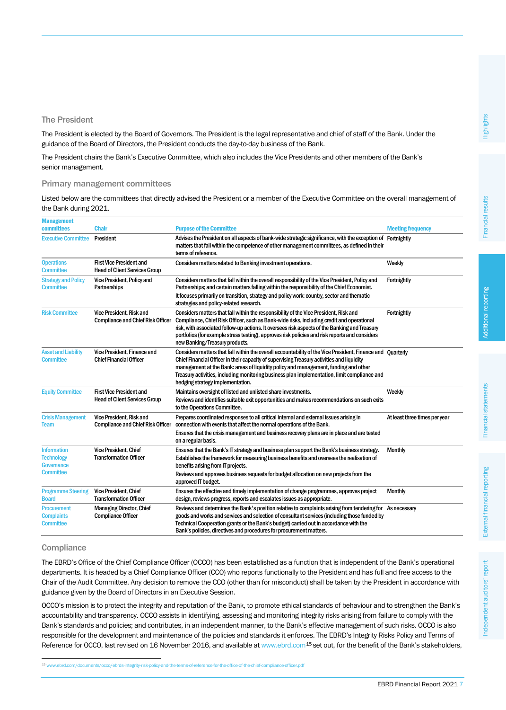The President is elected by the Board of Governors. The President is the legal representative and chief of staff of the Bank. Under the guidance of the Board of Directors, the President conducts the day-to-day business of the Bank.

The President chairs the Bank's Executive Committee, which also includes the Vice Presidents and other members of the Bank's senior management.

#### Primary management committees

Listed below are the committees that directly advised the President or a member of the Executive Committee on the overall management of the Bank during 2021.

| <b>Management</b>                                                                |                                                                         |                                                                                                                                                                                                                                                                                                                                                                                                                                     |                               |
|----------------------------------------------------------------------------------|-------------------------------------------------------------------------|-------------------------------------------------------------------------------------------------------------------------------------------------------------------------------------------------------------------------------------------------------------------------------------------------------------------------------------------------------------------------------------------------------------------------------------|-------------------------------|
| committees                                                                       | <b>Chair</b>                                                            | <b>Purpose of the Committee</b>                                                                                                                                                                                                                                                                                                                                                                                                     | <b>Meeting frequency</b>      |
| <b>Executive Committee</b>                                                       | President                                                               | Advises the President on all aspects of bank-wide strategic significance, with the exception of Fortnightly<br>matters that fall within the competence of other management committees, as defined in their<br>terms of reference.                                                                                                                                                                                                   |                               |
| <b>Operations</b><br><b>Committee</b>                                            | <b>First Vice President and</b><br><b>Head of Client Services Group</b> | Considers matters related to Banking investment operations.                                                                                                                                                                                                                                                                                                                                                                         | Weekly                        |
| <b>Strategy and Policy</b><br><b>Committee</b>                                   | Vice President, Policy and<br>Partnerships                              | Considers matters that fall within the overall responsibility of the Vice President, Policy and<br>Partnerships; and certain matters falling within the responsibility of the Chief Economist.<br>It focuses primarily on transition, strategy and policy work: country, sector and thematic<br>strategies and policy-related research.                                                                                             | Fortnightly                   |
| <b>Risk Committee</b>                                                            | Vice President, Risk and<br><b>Compliance and Chief Risk Officer</b>    | Considers matters that fall within the responsibility of the Vice President, Risk and<br>Compliance, Chief Risk Officer, such as Bank-wide risks, including credit and operational<br>risk, with associated follow-up actions. It oversees risk aspects of the Banking and Treasury<br>portfolios (for example stress testing), approves risk policies and risk reports and considers<br>new Banking/Treasury products.             | Fortnightly                   |
| <b>Asset and Liability</b><br><b>Committee</b>                                   | Vice President, Finance and<br><b>Chief Financial Officer</b>           | Considers matters that fall within the overall accountability of the Vice President, Finance and Quarterly<br>Chief Financial Officer in their capacity of supervising Treasury activities and liquidity<br>management at the Bank: areas of liquidity policy and management, funding and other<br>Treasury activities, including monitoring business plan implementation, limit compliance and<br>hedging strategy implementation. |                               |
| <b>Equity Committee</b>                                                          | <b>First Vice President and</b><br><b>Head of Client Services Group</b> | Maintains oversight of listed and unlisted share investments.<br>Reviews and identifies suitable exit opportunities and makes recommendations on such exits<br>to the Operations Committee.                                                                                                                                                                                                                                         | Weekly                        |
| <b>Crisis Management</b><br>Team                                                 | Vice President, Risk and<br><b>Compliance and Chief Risk Officer</b>    | Prepares coordinated responses to all critical internal and external issues arising in<br>connection with events that affect the normal operations of the Bank.<br>Ensures that the crisis management and business recovery plans are in place and are tested<br>on a regular basis.                                                                                                                                                | At least three times per year |
| <b>Information</b><br><b>Technology</b><br><b>Governance</b><br><b>Committee</b> | Vice President, Chief<br><b>Transformation Officer</b>                  | Ensures that the Bank's IT strategy and business plan support the Bank's business strategy.<br>Establishes the framework for measuring business benefits and oversees the realisation of<br>benefits arising from IT projects.<br>Reviews and approves business requests for budget allocation on new projects from the<br>approved IT budget.                                                                                      | <b>Monthly</b>                |
| <b>Programme Steering</b><br><b>Board</b>                                        | Vice President, Chief<br><b>Transformation Officer</b>                  | Ensures the effective and timely implementation of change programmes, approves project<br>design, reviews progress, reports and escalates issues as appropriate.                                                                                                                                                                                                                                                                    | <b>Monthly</b>                |
| <b>Procurement</b><br><b>Complaints</b><br><b>Committee</b>                      | <b>Managing Director, Chief</b><br><b>Compliance Officer</b>            | Reviews and determines the Bank's position relative to complaints arising from tendering for As necessary<br>goods and works and services and selection of consultant services (including those funded by<br>Technical Cooperation grants or the Bank's budget) carried out in accordance with the<br>Bank's policies, directives and procedures for procurement matters.                                                           |                               |

## **Compliance**

j

The EBRD's Office of the Chief Compliance Officer (OCCO) has been established as a function that is independent of the Bank's operational departments. It is headed by a Chief Compliance Officer (CCO) who reports functionally to the President and has full and free access to the Chair of the Audit Committee. Any decision to remove the CCO (other than for misconduct) shall be taken by the President in accordance with guidance given by the Board of Directors in an Executive Session.

OCCO's mission is to protect the integrity and reputation of the Bank, to promote ethical standards of behaviour and to strengthen the Bank's accountability and transparency. OCCO assists in identifying, assessing and monitoring integrity risks arising from failure to comply with the Bank's standards and policies; and contributes, in an independent manner, to the Bank's effective management of such risks. OCCO is also responsible for the development and maintenance of the policies and standards it enforces. The EBRD's Integrity Risks Policy and Terms of Reference for OCCO, last revised on 16 November 2016, and available a[t www.ebrd.com](file://www.ebrd.com/documents/occo/ebrds-integrity-risk-policy-and-the-terms-of-reference-for-the-office-of-the-chief-compliance-officer.pdf)<sup>[15](#page-1-0)</sup> set out, for the benefit of the Bank's stakeholders,

<span id="page-1-0"></span>v.ebrd.com/documents/occo/ebrds-integrity-risk-policy-and-the-terms-of-reference-for-the-office-of-the-chief-compliance-officer.pdf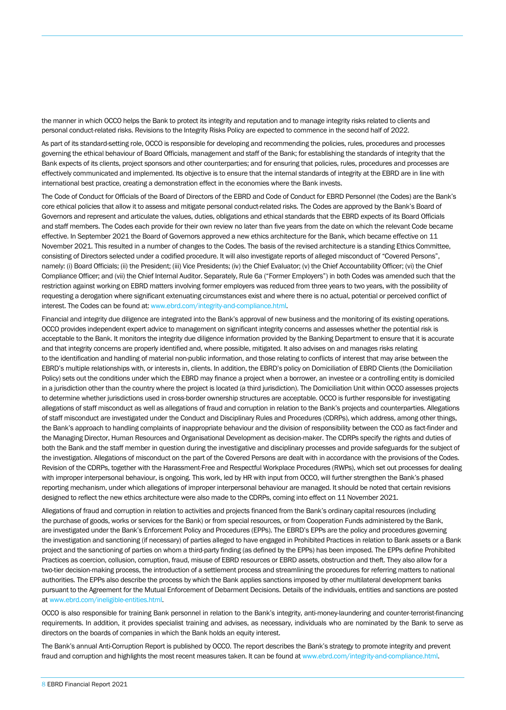the manner in which OCCO helps the Bank to protect its integrity and reputation and to manage integrity risks related to clients and personal conduct-related risks. Revisions to the Integrity Risks Policy are expected to commence in the second half of 2022.

As part of its standard-setting role, OCCO is responsible for developing and recommending the policies, rules, procedures and processes governing the ethical behaviour of Board Officials, management and staff of the Bank; for establishing the standards of integrity that the Bank expects of its clients, project sponsors and other counterparties; and for ensuring that policies, rules, procedures and processes are effectively communicated and implemented. Its objective is to ensure that the internal standards of integrity at the EBRD are in line with international best practice, creating a demonstration effect in the economies where the Bank invests.

The Code of Conduct for Officials of the Board of Directors of the EBRD and Code of Conduct for EBRD Personnel (the Codes) are the Bank's core ethical policies that allow it to assess and mitigate personal conduct-related risks. The Codes are approved by the Bank's Board of Governors and represent and articulate the values, duties, obligations and ethical standards that the EBRD expects of its Board Officials and staff members. The Codes each provide for their own review no later than five years from the date on which the relevant Code became effective. In September 2021 the Board of Governors approved a new ethics architecture for the Bank, which became effective on 11 November 2021. This resulted in a number of changes to the Codes. The basis of the revised architecture is a standing Ethics Committee, consisting of Directors selected under a codified procedure. It will also investigate reports of alleged misconduct of "Covered Persons", namely: (i) Board Officials; (ii) the President; (iii) Vice Presidents; (iv) the Chief Evaluator; (v) the Chief Accountability Officer; (vi) the Chief Compliance Officer; and (vii) the Chief Internal Auditor. Separately, Rule 6a ("Former Employers") in both Codes was amended such that the restriction against working on EBRD matters involving former employers was reduced from three years to two years, with the possibility of requesting a derogation where significant extenuating circumstances exist and where there is no actual, potential or perceived conflict of interest. The Codes can be found at[: www.ebrd.com/integrity-and-compliance.html.](http://www.ebrd.com/integrity-and-compliance.html) 

Financial and integrity due diligence are integrated into the Bank's approval of new business and the monitoring of its existing operations. OCCO provides independent expert advice to management on significant integrity concerns and assesses whether the potential risk is acceptable to the Bank. It monitors the integrity due diligence information provided by the Banking Department to ensure that it is accurate and that integrity concerns are properly identified and, where possible, mitigated. It also advises on and manages risks relating to the identification and handling of material non-public information, and those relating to conflicts of interest that may arise between the EBRD's multiple relationships with, or interests in, clients. In addition, the EBRD's policy on Domiciliation of EBRD Clients (the Domiciliation Policy) sets out the conditions under which the EBRD may finance a project when a borrower, an investee or a controlling entity is domiciled in a jurisdiction other than the country where the project is located (a third jurisdiction). The Domiciliation Unit within OCCO assesses projects to determine whether jurisdictions used in cross-border ownership structures are acceptable. OCCO is further responsible for investigating allegations of staff misconduct as well as allegations of fraud and corruption in relation to the Bank's projects and counterparties. Allegations of staff misconduct are investigated under the Conduct and Disciplinary Rules and Procedures (CDRPs), which address, among other things, the Bank's approach to handling complaints of inappropriate behaviour and the division of responsibility between the CCO as fact-finder and the Managing Director, Human Resources and Organisational Development as decision-maker. The CDRPs specify the rights and duties of both the Bank and the staff member in question during the investigative and disciplinary processes and provide safeguards for the subject of the investigation. Allegations of misconduct on the part of the Covered Persons are dealt with in accordance with the provisions of the Codes. Revision of the CDRPs, together with the Harassment-Free and Respectful Workplace Procedures (RWPs), which set out processes for dealing with improper interpersonal behaviour, is ongoing. This work, led by HR with input from OCCO, will further strengthen the Bank's phased reporting mechanism, under which allegations of improper interpersonal behaviour are managed. It should be noted that certain revisions designed to reflect the new ethics architecture were also made to the CDRPs, coming into effect on 11 November 2021.

Allegations of fraud and corruption in relation to activities and projects financed from the Bank's ordinary capital resources (including the purchase of goods, works or services for the Bank) or from special resources, or from Cooperation Funds administered by the Bank, are investigated under the Bank's Enforcement Policy and Procedures (EPPs). The EBRD's EPPs are the policy and procedures governing the investigation and sanctioning (if necessary) of parties alleged to have engaged in Prohibited Practices in relation to Bank assets or a Bank project and the sanctioning of parties on whom a third-party finding (as defined by the EPPs) has been imposed. The EPPs define Prohibited Practices as coercion, collusion, corruption, fraud, misuse of EBRD resources or EBRD assets, obstruction and theft. They also allow for a two-tier decision-making process, the introduction of a settlement process and streamlining the procedures for referring matters to national authorities. The EPPs also describe the process by which the Bank applies sanctions imposed by other multilateral development banks pursuant to the Agreement for the Mutual Enforcement of Debarment Decisions. Details of the individuals, entities and sanctions are posted at [www.ebrd.com/ineligible-entities.html.](http://www.ebrd.com/ineligible-entities.html)

OCCO is also responsible for training Bank personnel in relation to the Bank's integrity, anti-money-laundering and counter-terrorist-financing requirements. In addition, it provides specialist training and advises, as necessary, individuals who are nominated by the Bank to serve as directors on the boards of companies in which the Bank holds an equity interest.

The Bank's annual Anti-Corruption Report is published by OCCO. The report describes the Bank's strategy to promote integrity and prevent fraud and corruption and highlights the most recent measures taken. It can be found a[t www.ebrd.com/integrity-and-compliance.html.](http://www.ebrd.com/integrity-and-compliance.html)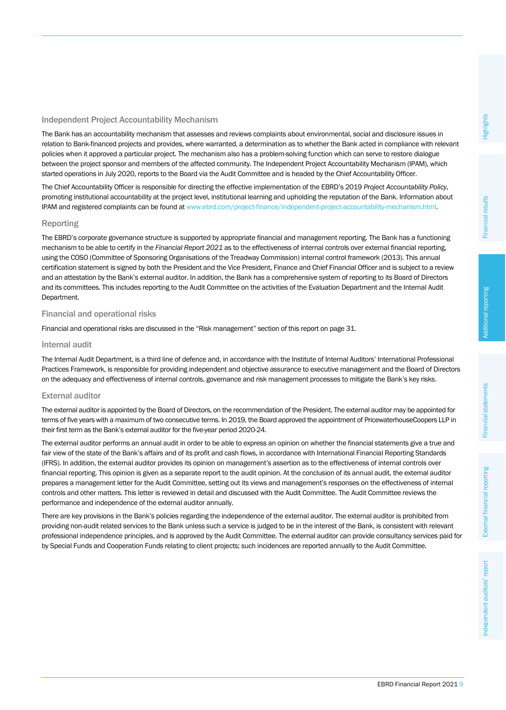## Independent Project Accountability Mechanism

The Bank has an accountability mechanism that assesses and reviews complaints about environmental, social and disclosure issues in relation to Bank-financed projects and provides, where warranted, a determination as to whether the Bank acted in compliance with relevant policies when it approved a particular project. The mechanism also has a problem-solving function which can serve to restore dialogue between the project sponsor and members of the affected community. The Independent Project Accountability Mechanism (IPAM), which started operations in July 2020, reports to the Board via the Audit Committee and is headed by the Chief Accountability Officer.

The Chief Accountability Officer is responsible for directing the effective implementation of the EBRD's 2019 *Project Accountability Policy*, promoting institutional accountability at the project level, institutional learning and upholding the reputation of the Bank. Information about IPAM and registered complaints can be found a[t www.ebrd.com/project-finance/independent-project-accountability-mechanism.html.](http://www.ebrd.com/project-finance/independent-project-accountability-mechanism.html) 

## Reporting

The EBRD's corporate governance structure is supported by appropriate financial and management reporting. The Bank has a functioning mechanism to be able to certify in the *Financial Report 2021* as to the effectiveness of internal controls over external financial reporting, using the COSO (Committee of Sponsoring Organisations of the Treadway Commission) internal control framework (2013). This annual certification statement is signed by both the President and the Vice President, Finance and Chief Financial Officer and is subject to a review and an attestation by the Bank's external auditor. In addition, the Bank has a comprehensive system of reporting to its Board of Directors and its committees. This includes reporting to the Audit Committee on the activities of the Evaluation Department and the Internal Audit Department.

### Financial and operational risks

Financial and operational risks are discussed in the "Risk management" section of this report on page 31.

### Internal audit

The Internal Audit Department, is a third line of defence and, in accordance with the Institute of Internal Auditors' International Professional Practices Framework, is responsible for providing independent and objective assurance to executive management and the Board of Directors on the adequacy and effectiveness of internal controls, governance and risk management processes to mitigate the Bank's key risks.

### External auditor

The external auditor is appointed by the Board of Directors, on the recommendation of the President. The external auditor may be appointed for terms of five years with a maximum of two consecutive terms. In 2019, the Board approved the appointment of PricewaterhouseCoopers LLP in their first term as the Bank's external auditor for the five-year period 2020-24.

The external auditor performs an annual audit in order to be able to express an opinion on whether the financial statements give a true and fair view of the state of the Bank's affairs and of its profit and cash flows, in accordance with International Financial Reporting Standards (IFRS). In addition, the external auditor provides its opinion on management's assertion as to the effectiveness of internal controls over financial reporting. This opinion is given as a separate report to the audit opinion. At the conclusion of its annual audit, the external auditor prepares a management letter for the Audit Committee, setting out its views and management's responses on the effectiveness of internal controls and other matters. This letter is reviewed in detail and discussed with the Audit Committee. The Audit Committee reviews the performance and independence of the external auditor annually.

There are key provisions in the Bank's policies regarding the independence of the external auditor. The external auditor is prohibited from providing non-audit related services to the Bank unless such a service is judged to be in the interest of the Bank, is consistent with relevant professional independence principles, and is approved by the Audit Committee. The external auditor can provide consultancy services paid for by Special Funds and Cooperation Funds relating to client projects; such incidences are reported annually to the Audit Committee.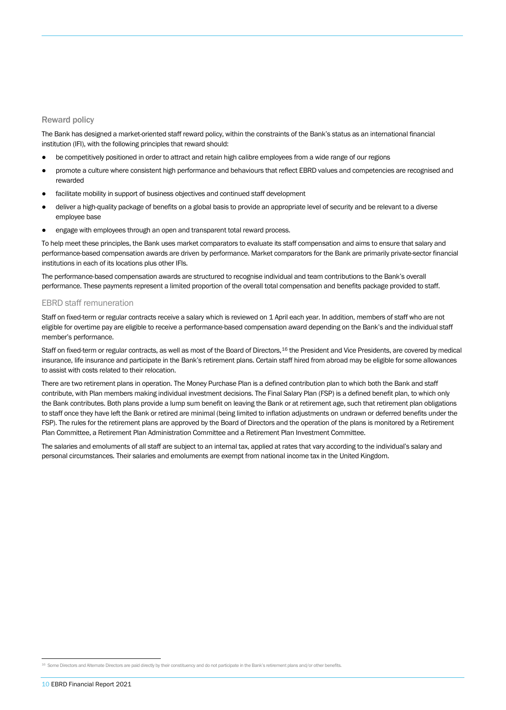#### Reward policy

The Bank has designed a market-oriented staff reward policy, within the constraints of the Bank's status as an international financial institution (IFI), with the following principles that reward should:

- be competitively positioned in order to attract and retain high calibre employees from a wide range of our regions
- promote a culture where consistent high performance and behaviours that reflect EBRD values and competencies are recognised and rewarded
- facilitate mobility in support of business objectives and continued staff development
- deliver a high-quality package of benefits on a global basis to provide an appropriate level of security and be relevant to a diverse employee base
- engage with employees through an open and transparent total reward process.

To help meet these principles, the Bank uses market comparators to evaluate its staff compensation and aims to ensure that salary and performance-based compensation awards are driven by performance. Market comparators for the Bank are primarily private-sector financial institutions in each of its locations plus other IFIs.

The performance-based compensation awards are structured to recognise individual and team contributions to the Bank's overall performance. These payments represent a limited proportion of the overall total compensation and benefits package provided to staff.

#### EBRD staff remuneration

Staff on fixed-term or regular contracts receive a salary which is reviewed on 1 April each year. In addition, members of staff who are not eligible for overtime pay are eligible to receive a performance-based compensation award depending on the Bank's and the individual staff member's performance.

Staff on fixed-term or regular contracts, as well as most of the Board of Directors, <sup>[16](#page-4-0)</sup> the President and Vice Presidents, are covered by medical insurance, life insurance and participate in the Bank's retirement plans. Certain staff hired from abroad may be eligible for some allowances to assist with costs related to their relocation.

There are two retirement plans in operation. The Money Purchase Plan is a defined contribution plan to which both the Bank and staff contribute, with Plan members making individual investment decisions. The Final Salary Plan (FSP) is a defined benefit plan, to which only the Bank contributes. Both plans provide a lump sum benefit on leaving the Bank or at retirement age, such that retirement plan obligations to staff once they have left the Bank or retired are minimal (being limited to inflation adjustments on undrawn or deferred benefits under the FSP). The rules for the retirement plans are approved by the Board of Directors and the operation of the plans is monitored by a Retirement Plan Committee, a Retirement Plan Administration Committee and a Retirement Plan Investment Committee.

The salaries and emoluments of all staff are subject to an internal tax, applied at rates that vary according to the individual's salary and personal circumstances. Their salaries and emoluments are exempt from national income tax in the United Kingdom.

j

<span id="page-4-0"></span><sup>16</sup> Some Directors and Alternate Directors are paid directly by their constituency and do not participate in the Bank's retirement plans and/or other benefits.